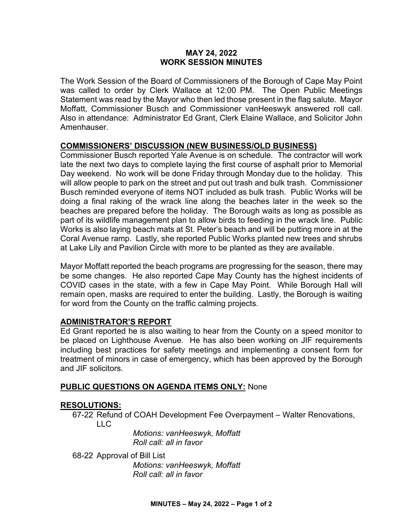#### **MAY 24, 2022 WORK SESSION MINUTES**

The Work Session of the Board of Commissioners of the Borough of Cape May Point was called to order by Clerk Wallace at 12:00 PM. The Open Public Meetings Statement was read by the Mayor who then led those present in the flag salute. Mayor Moffatt, Commissioner Busch and Commissioner vanHeeswyk answered roll call. Also in attendance: Administrator Ed Grant, Clerk Elaine Wallace, and Solicitor John Amenhauser.

# **COMMISSIONERS' DISCUSSION (NEW BUSINESS/OLD BUSINESS)**

Commissioner Busch reported Yale Avenue is on schedule. The contractor will work late the next two days to complete laying the first course of asphalt prior to Memorial Day weekend. No work will be done Friday through Monday due to the holiday. This will allow people to park on the street and put out trash and bulk trash. Commissioner Busch reminded everyone of items NOT included as bulk trash. Public Works will be doing a final raking of the wrack line along the beaches later in the week so the beaches are prepared before the holiday. The Borough waits as long as possible as part of its wildlife management plan to allow birds to feeding in the wrack line. Public Works is also laying beach mats at St. Peter's beach and will be putting more in at the Coral Avenue ramp. Lastly, she reported Public Works planted new trees and shrubs at Lake Lily and Pavilion Circle with more to be planted as they are available.

Mayor Moffatt reported the beach programs are progressing for the season, there may be some changes. He also reported Cape May County has the highest incidents of COVID cases in the state, with a few in Cape May Point. While Borough Hall will remain open, masks are required to enter the building. Lastly, the Borough is waiting for word from the County on the traffic calming projects.

## **ADMINISTRATOR'S REPORT**

Ed Grant reported he is also waiting to hear from the County on a speed monitor to be placed on Lighthouse Avenue. He has also been working on JIF requirements including best practices for safety meetings and implementing a consent form for treatment of minors in case of emergency, which has been approved by the Borough and JIF solicitors.

## **PUBLIC QUESTIONS ON AGENDA ITEMS ONLY:** None

## **RESOLUTIONS:**

67-22 Refund of COAH Development Fee Overpayment – Walter Renovations, LLC

> *Motions: vanHeeswyk, Moffatt Roll call: all in favor*

68-22 Approval of Bill List *Motions: vanHeeswyk, Moffatt Roll call: all in favor*